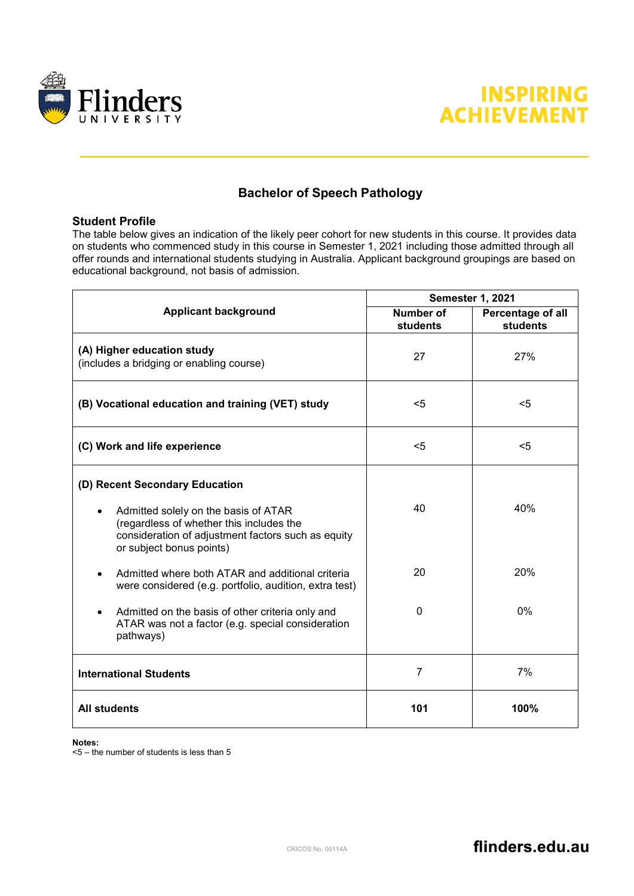



## **Bachelor of Speech Pathology**

## **Student Profile**

The table below gives an indication of the likely peer cohort for new students in this course. It provides data on students who commenced study in this course in Semester 1, 2021 including those admitted through all offer rounds and international students studying in Australia. Applicant background groupings are based on educational background, not basis of admission.

|                                                                                                                                                                    | <b>Semester 1, 2021</b>      |                               |
|--------------------------------------------------------------------------------------------------------------------------------------------------------------------|------------------------------|-------------------------------|
| <b>Applicant background</b>                                                                                                                                        | <b>Number of</b><br>students | Percentage of all<br>students |
| (A) Higher education study<br>(includes a bridging or enabling course)                                                                                             | 27                           | 27%                           |
| (B) Vocational education and training (VET) study                                                                                                                  | $<$ 5                        | $5$                           |
| (C) Work and life experience                                                                                                                                       | $5$                          | $5$                           |
| (D) Recent Secondary Education                                                                                                                                     |                              |                               |
| Admitted solely on the basis of ATAR<br>(regardless of whether this includes the<br>consideration of adjustment factors such as equity<br>or subject bonus points) | 40                           | 40%                           |
| Admitted where both ATAR and additional criteria<br>were considered (e.g. portfolio, audition, extra test)                                                         | 20                           | 20%                           |
| Admitted on the basis of other criteria only and<br>ATAR was not a factor (e.g. special consideration<br>pathways)                                                 | 0                            | 0%                            |
| <b>International Students</b>                                                                                                                                      | $\overline{7}$               | 7%                            |
| <b>All students</b>                                                                                                                                                | 101                          | 100%                          |

## **Notes:**

 $5 -$  the number of students is less than 5